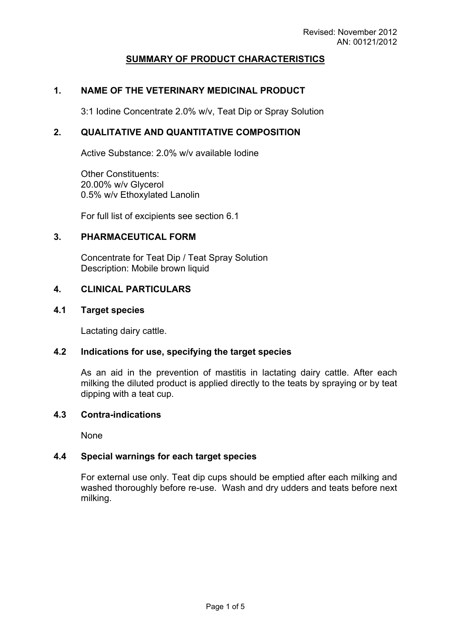# **SUMMARY OF PRODUCT CHARACTERISTICS**

### **1. NAME OF THE VETERINARY MEDICINAL PRODUCT**

3:1 Iodine Concentrate 2.0% w/v, Teat Dip or Spray Solution

# **2. QUALITATIVE AND QUANTITATIVE COMPOSITION**

Active Substance: 2.0% w/v available Iodine

Other Constituents: 20.00% w/v Glycerol 0.5% w/v Ethoxylated Lanolin

For full list of excipients see section 6.1

### **3. PHARMACEUTICAL FORM**

Concentrate for Teat Dip / Teat Spray Solution Description: Mobile brown liquid

### **4. CLINICAL PARTICULARS**

#### **4.1 Target species**

Lactating dairy cattle.

#### **4.2 Indications for use, specifying the target species**

As an aid in the prevention of mastitis in lactating dairy cattle. After each milking the diluted product is applied directly to the teats by spraying or by teat dipping with a teat cup.

### **4.3 Contra-indications**

None

#### **4.4 Special warnings for each target species**

For external use only. Teat dip cups should be emptied after each milking and washed thoroughly before re-use. Wash and dry udders and teats before next milking.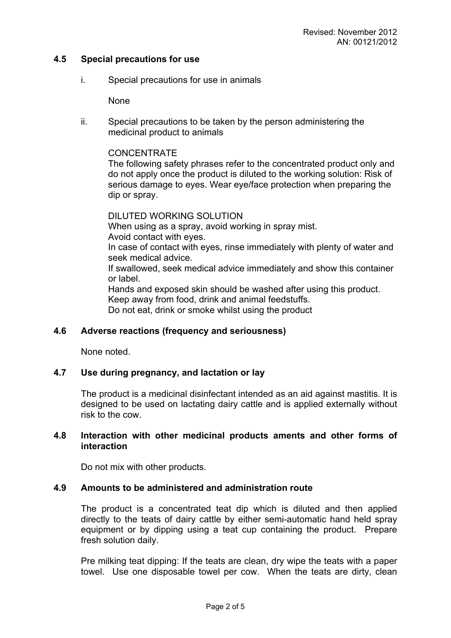### **4.5 Special precautions for use**

i. Special precautions for use in animals

None

ii. Special precautions to be taken by the person administering the medicinal product to animals

### **CONCENTRATE**

The following safety phrases refer to the concentrated product only and do not apply once the product is diluted to the working solution: Risk of serious damage to eyes. Wear eye/face protection when preparing the dip or spray.

DILUTED WORKING SOLUTION When using as a spray, avoid working in spray mist. Avoid contact with eyes. In case of contact with eyes, rinse immediately with plenty of water and seek medical advice. If swallowed, seek medical advice immediately and show this container or label. Hands and exposed skin should be washed after using this product. Keep away from food, drink and animal feedstuffs. Do not eat, drink or smoke whilst using the product

### **4.6 Adverse reactions (frequency and seriousness)**

None noted.

### **4.7 Use during pregnancy, and lactation or lay**

The product is a medicinal disinfectant intended as an aid against mastitis. It is designed to be used on lactating dairy cattle and is applied externally without risk to the cow.

### **4.8 Interaction with other medicinal products aments and other forms of interaction**

Do not mix with other products.

#### **4.9 Amounts to be administered and administration route**

The product is a concentrated teat dip which is diluted and then applied directly to the teats of dairy cattle by either semi-automatic hand held spray equipment or by dipping using a teat cup containing the product. Prepare fresh solution daily.

Pre milking teat dipping: If the teats are clean, dry wipe the teats with a paper towel. Use one disposable towel per cow. When the teats are dirty, clean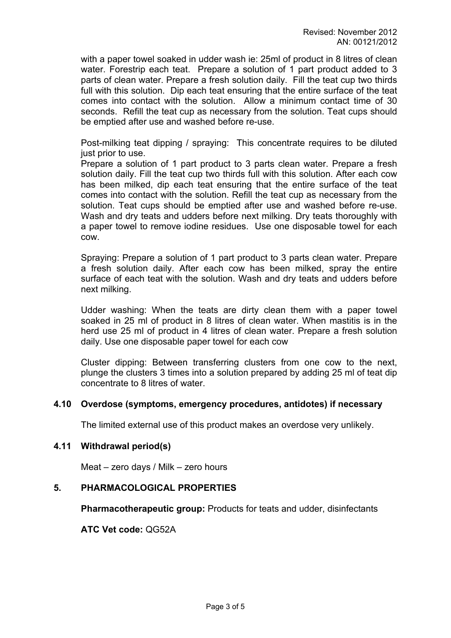with a paper towel soaked in udder wash ie: 25ml of product in 8 litres of clean water. Forestrip each teat. Prepare a solution of 1 part product added to 3 parts of clean water. Prepare a fresh solution daily. Fill the teat cup two thirds full with this solution. Dip each teat ensuring that the entire surface of the teat comes into contact with the solution. Allow a minimum contact time of 30 seconds. Refill the teat cup as necessary from the solution. Teat cups should be emptied after use and washed before re-use.

Post-milking teat dipping / spraying: This concentrate requires to be diluted just prior to use.

Prepare a solution of 1 part product to 3 parts clean water. Prepare a fresh solution daily. Fill the teat cup two thirds full with this solution. After each cow has been milked, dip each teat ensuring that the entire surface of the teat comes into contact with the solution. Refill the teat cup as necessary from the solution. Teat cups should be emptied after use and washed before re-use. Wash and dry teats and udders before next milking. Dry teats thoroughly with a paper towel to remove iodine residues. Use one disposable towel for each cow.

Spraying: Prepare a solution of 1 part product to 3 parts clean water. Prepare a fresh solution daily. After each cow has been milked, spray the entire surface of each teat with the solution. Wash and dry teats and udders before next milking.

Udder washing: When the teats are dirty clean them with a paper towel soaked in 25 ml of product in 8 litres of clean water. When mastitis is in the herd use 25 ml of product in 4 litres of clean water. Prepare a fresh solution daily. Use one disposable paper towel for each cow

Cluster dipping: Between transferring clusters from one cow to the next, plunge the clusters 3 times into a solution prepared by adding 25 ml of teat dip concentrate to 8 litres of water.

### **4.10 Overdose (symptoms, emergency procedures, antidotes) if necessary**

The limited external use of this product makes an overdose very unlikely.

#### **4.11 Withdrawal period(s)**

Meat – zero days / Milk – zero hours

### **5. PHARMACOLOGICAL PROPERTIES**

**Pharmacotherapeutic group:** Products for teats and udder, disinfectants

**ATC Vet code:** QG52A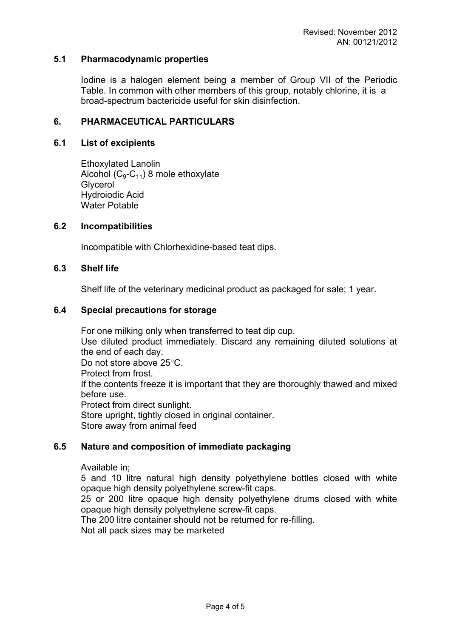### **5.1 Pharmacodynamic properties**

Iodine is a halogen element being a member of Group VII of the Periodic Table. In common with other members of this group, notably chlorine, it is a broad-spectrum bactericide useful for skin disinfection.

### **6. PHARMACEUTICAL PARTICULARS**

### **6.1 List of excipients**

Ethoxylated Lanolin Alcohol  $(C_9-C_{11})$  8 mole ethoxylate **Glycerol** Hydroiodic Acid Water Potable

### **6.2 Incompatibilities**

Incompatible with Chlorhexidine-based teat dips.

### **6.3 Shelf life**

Shelf life of the veterinary medicinal product as packaged for sale; 1 year.

#### **6.4 Special precautions for storage**

For one milking only when transferred to teat dip cup. Use diluted product immediately. Discard any remaining diluted solutions at the end of each day. Do not store above 25°C. Protect from frost. If the contents freeze it is important that they are thoroughly thawed and mixed before use. Protect from direct sunlight. Store upright, tightly closed in original container. Store away from animal feed

### **6.5 Nature and composition of immediate packaging**

#### Available in;

5 and 10 litre natural high density polyethylene bottles closed with white opaque high density polyethylene screw-fit caps.

25 or 200 litre opaque high density polyethylene drums closed with white opaque high density polyethylene screw-fit caps.

The 200 litre container should not be returned for re-filling.

Not all pack sizes may be marketed